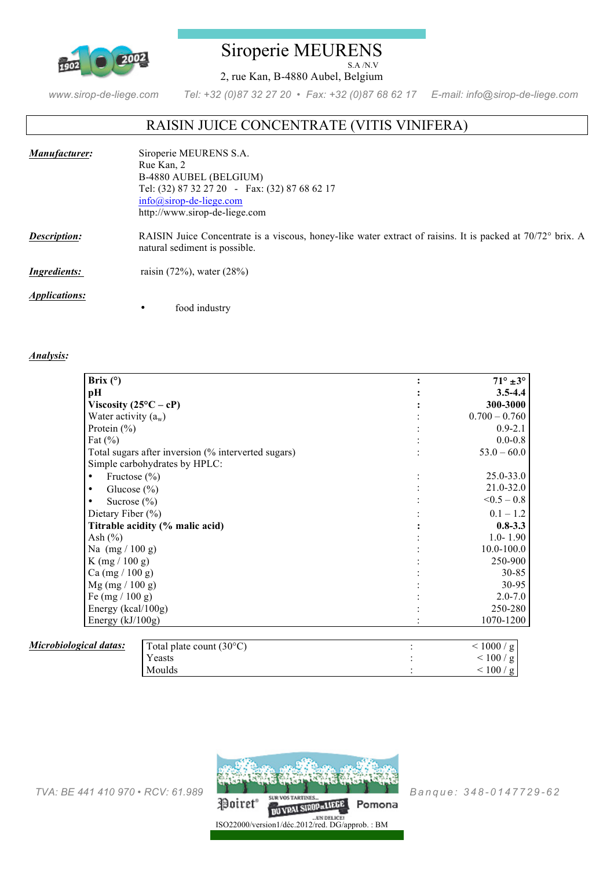

## Siroperie MEURENS S.A /N.V

2, rue Kan, B-4880 Aubel, Belgium

*www.sirop-de-liege.com Tel: +32 (0)87 32 27 20 • Fax: +32 (0)87 68 62 17 E-mail: info@sirop-de-liege.com*

# RAISIN JUICE CONCENTRATE (VITIS VINIFERA)

| Manufacturer:               | Siroperie MEURENS S.A.                                                                                                                      |
|-----------------------------|---------------------------------------------------------------------------------------------------------------------------------------------|
|                             | Rue Kan, 2                                                                                                                                  |
|                             | B-4880 AUBEL (BELGIUM)                                                                                                                      |
|                             | Tel: (32) 87 32 27 20 - Fax: (32) 87 68 62 17                                                                                               |
|                             | $info@sirop-de-liege.com$                                                                                                                   |
|                             | http://www.sirop-de-liege.com                                                                                                               |
| <b>Description:</b>         | RAISIN Juice Concentrate is a viscous, honey-like water extract of raisins. It is packed at 70/72° brix. A<br>natural sediment is possible. |
| <i>Ingredients:</i>         | raisin $(72\%)$ , water $(28\%)$                                                                                                            |
| <i><b>Applications:</b></i> |                                                                                                                                             |
|                             | food industry<br>٠                                                                                                                          |

#### *Analysis:*

| Brix $(°)$                                          | $71^\circ \pm 3^\circ$ |
|-----------------------------------------------------|------------------------|
| pН                                                  | $3.5 - 4.4$            |
| Viscosity $(25^{\circ}C - cP)$                      | 300-3000               |
| Water activity $(a_w)$                              | $0.700 - 0.760$        |
| Protein $(\% )$                                     | $0.9 - 2.1$            |
| Fat $(\% )$                                         | $0.0 - 0.8$            |
| Total sugars after inversion (% interverted sugars) | $53.0 - 60.0$          |
| Simple carbohydrates by HPLC:                       |                        |
| Fructose $(\% )$<br>٠                               | $25.0 - 33.0$          |
| Glucose $(\% )$<br>٠                                | $21.0 - 32.0$          |
| Sucrose $(\% )$                                     | $< 0.5 - 0.8$          |
| Dietary Fiber $(\% )$                               | $0.1 - 1.2$            |
| Titrable acidity (% malic acid)                     | $0.8 - 3.3$            |
| Ash $(\% )$                                         | $1.0 - 1.90$           |
| Na $(mg / 100 g)$                                   | $10.0 - 100.0$         |
| K $(mg / 100 g)$                                    | 250-900                |
| Ca (mg / 100 g)                                     | $30 - 85$              |
| $Mg$ (mg / 100 g)                                   | 30-95                  |
| Fe $(mg / 100 g)$                                   | $2.0 - 7.0$            |
| Energy ( $kcal/100g$ )                              | 250-280                |
| Energy $(kJ/100g)$                                  | 1070-1200              |

#### *Microbiological d*

| <u>latas:</u> | Total plate count $(30^{\circ}C)$ | < 1000 / g          |
|---------------|-----------------------------------|---------------------|
|               | Yeasts                            | $<$ $100$ / $\rm g$ |
|               | Moulds                            | 100/g               |